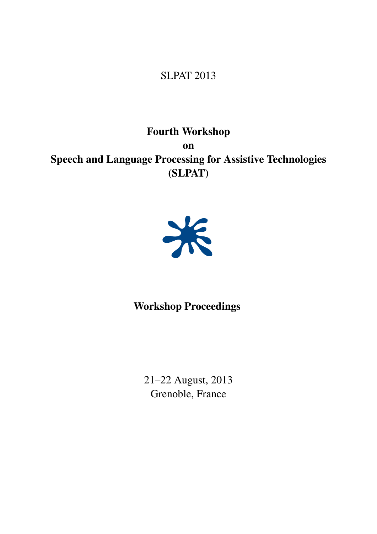## SLPAT 2013

Fourth Workshop on Speech and Language Processing for Assistive Technologies (SLPAT)



## Workshop Proceedings

21–22 August, 2013 Grenoble, France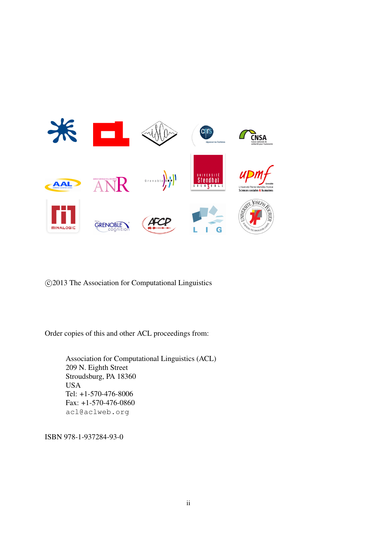

c 2013 The Association for Computational Linguistics

Order copies of this and other ACL proceedings from:

Association for Computational Linguistics (ACL) 209 N. Eighth Street Stroudsburg, PA 18360 USA Tel: +1-570-476-8006 Fax: +1-570-476-0860 acl@aclweb.org

ISBN 978-1-937284-93-0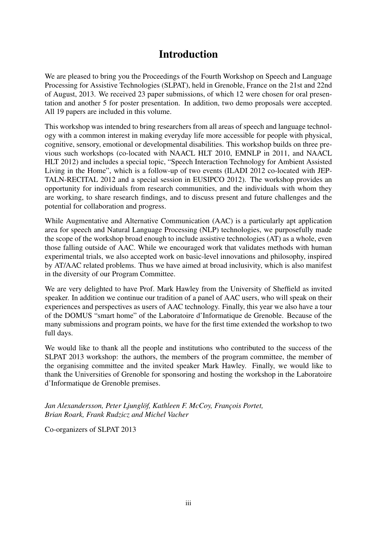### Introduction

We are pleased to bring you the Proceedings of the Fourth Workshop on Speech and Language Processing for Assistive Technologies (SLPAT), held in Grenoble, France on the 21st and 22nd of August, 2013. We received 23 paper submissions, of which 12 were chosen for oral presentation and another 5 for poster presentation. In addition, two demo proposals were accepted. All 19 papers are included in this volume.

This workshop was intended to bring researchers from all areas of speech and language technology with a common interest in making everyday life more accessible for people with physical, cognitive, sensory, emotional or developmental disabilities. This workshop builds on three previous such workshops (co-located with NAACL HLT 2010, EMNLP in 2011, and NAACL HLT 2012) and includes a special topic, "Speech Interaction Technology for Ambient Assisted Living in the Home", which is a follow-up of two events (ILADI 2012 co-located with JEP-TALN-RECITAL 2012 and a special session in EUSIPCO 2012). The workshop provides an opportunity for individuals from research communities, and the individuals with whom they are working, to share research findings, and to discuss present and future challenges and the potential for collaboration and progress.

While Augmentative and Alternative Communication (AAC) is a particularly apt application area for speech and Natural Language Processing (NLP) technologies, we purposefully made the scope of the workshop broad enough to include assistive technologies (AT) as a whole, even those falling outside of AAC. While we encouraged work that validates methods with human experimental trials, we also accepted work on basic-level innovations and philosophy, inspired by AT/AAC related problems. Thus we have aimed at broad inclusivity, which is also manifest in the diversity of our Program Committee.

We are very delighted to have Prof. Mark Hawley from the University of Sheffield as invited speaker. In addition we continue our tradition of a panel of AAC users, who will speak on their experiences and perspectives as users of AAC technology. Finally, this year we also have a tour of the DOMUS "smart home" of the Laboratoire d'Informatique de Grenoble. Because of the many submissions and program points, we have for the first time extended the workshop to two full days.

We would like to thank all the people and institutions who contributed to the success of the SLPAT 2013 workshop: the authors, the members of the program committee, the member of the organising committee and the invited speaker Mark Hawley. Finally, we would like to thank the Universities of Grenoble for sponsoring and hosting the workshop in the Laboratoire d'Informatique de Grenoble premises.

*Jan Alexandersson, Peter Ljunglöf, Kathleen F. McCoy, François Portet, Brian Roark, Frank Rudzicz and Michel Vacher*

Co-organizers of SLPAT 2013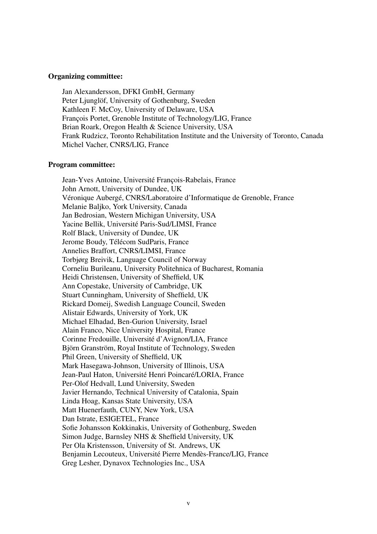#### Organizing committee:

Jan Alexandersson, DFKI GmbH, Germany Peter Ljunglöf, University of Gothenburg, Sweden Kathleen F. McCoy, University of Delaware, USA Francois Portet, Grenoble Institute of Technology/LIG, France Brian Roark, Oregon Health & Science University, USA Frank Rudzicz, Toronto Rehabilitation Institute and the University of Toronto, Canada Michel Vacher, CNRS/LIG, France

#### Program committee:

Jean-Yves Antoine, Université François-Rabelais, France John Arnott, University of Dundee, UK Véronique Aubergé, CNRS/Laboratoire d'Informatique de Grenoble, France Melanie Baljko, York University, Canada Jan Bedrosian, Western Michigan University, USA Yacine Bellik, Université Paris-Sud/LIMSI, France Rolf Black, University of Dundee, UK Jerome Boudy, Télécom SudParis, France Annelies Braffort, CNRS/LIMSI, France Torbjørg Breivik, Language Council of Norway Corneliu Burileanu, University Politehnica of Bucharest, Romania Heidi Christensen, University of Sheffield, UK Ann Copestake, University of Cambridge, UK Stuart Cunningham, University of Sheffield, UK Rickard Domeij, Swedish Language Council, Sweden Alistair Edwards, University of York, UK Michael Elhadad, Ben-Gurion University, Israel Alain Franco, Nice University Hospital, France Corinne Fredouille, Universite d'Avignon/LIA, France ´ Björn Granström, Royal Institute of Technology, Sweden Phil Green, University of Sheffield, UK Mark Hasegawa-Johnson, University of Illinois, USA Jean-Paul Haton, Université Henri Poincaré/LORIA, France Per-Olof Hedvall, Lund University, Sweden Javier Hernando, Technical University of Catalonia, Spain Linda Hoag, Kansas State University, USA Matt Huenerfauth, CUNY, New York, USA Dan Istrate, ESIGETEL, France Sofie Johansson Kokkinakis, University of Gothenburg, Sweden Simon Judge, Barnsley NHS & Sheffield University, UK Per Ola Kristensson, University of St. Andrews, UK Benjamin Lecouteux, Université Pierre Mendès-France/LIG, France Greg Lesher, Dynavox Technologies Inc., USA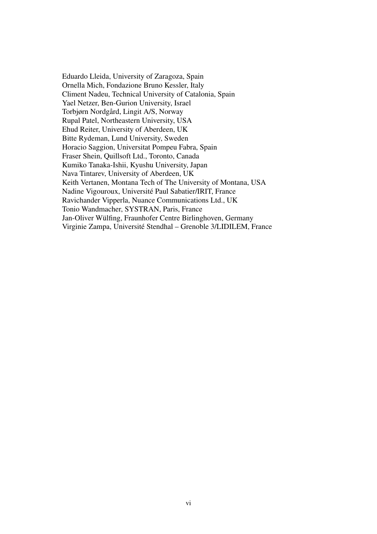Eduardo Lleida, University of Zaragoza, Spain Ornella Mich, Fondazione Bruno Kessler, Italy Climent Nadeu, Technical University of Catalonia, Spain Yael Netzer, Ben-Gurion University, Israel Torbjørn Nordgård, Lingit A/S, Norway Rupal Patel, Northeastern University, USA Ehud Reiter, University of Aberdeen, UK Bitte Rydeman, Lund University, Sweden Horacio Saggion, Universitat Pompeu Fabra, Spain Fraser Shein, Quillsoft Ltd., Toronto, Canada Kumiko Tanaka-Ishii, Kyushu University, Japan Nava Tintarev, University of Aberdeen, UK Keith Vertanen, Montana Tech of The University of Montana, USA Nadine Vigouroux, Universite Paul Sabatier/IRIT, France ´ Ravichander Vipperla, Nuance Communications Ltd., UK Tonio Wandmacher, SYSTRAN, Paris, France Jan-Oliver Wülfing, Fraunhofer Centre Birlinghoven, Germany Virginie Zampa, Universite Stendhal – Grenoble 3/LIDILEM, France ´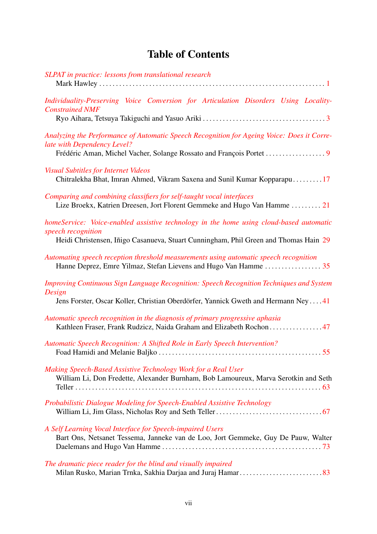# Table of Contents

| SLPAT in practice: lessons from translational research                                                                                                                                                |
|-------------------------------------------------------------------------------------------------------------------------------------------------------------------------------------------------------|
| Individuality-Preserving Voice Conversion for Articulation Disorders Using Locality-<br><b>Constrained NMF</b>                                                                                        |
| Analyzing the Performance of Automatic Speech Recognition for Ageing Voice: Does it Corre-<br>late with Dependency Level?                                                                             |
| <b>Visual Subtitles for Internet Videos</b><br>Chitralekha Bhat, Imran Ahmed, Vikram Saxena and Sunil Kumar Kopparapu17                                                                               |
| Comparing and combining classifiers for self-taught vocal interfaces<br>Lize Broekx, Katrien Dreesen, Jort Florent Gemmeke and Hugo Van Hamme  21                                                     |
| homeService: Voice-enabled assistive technology in the home using cloud-based automatic<br>speech recognition<br>Heidi Christensen, Iñigo Casanueva, Stuart Cunningham, Phil Green and Thomas Hain 29 |
| Automating speech reception threshold measurements using automatic speech recognition                                                                                                                 |
| Improving Continuous Sign Language Recognition: Speech Recognition Techniques and System<br>Design<br>Jens Forster, Oscar Koller, Christian Oberdörfer, Yannick Gweth and Hermann Ney 41              |
| Automatic speech recognition in the diagnosis of primary progressive aphasia<br>Kathleen Fraser, Frank Rudzicz, Naida Graham and Elizabeth Rochon 47                                                  |
| Automatic Speech Recognition: A Shifted Role in Early Speech Intervention?                                                                                                                            |
| Making Speech-Based Assistive Technology Work for a Real User<br>William Li, Don Fredette, Alexander Burnham, Bob Lamoureux, Marva Serotkin and Seth                                                  |
| Probabilistic Dialogue Modeling for Speech-Enabled Assistive Technology                                                                                                                               |
| A Self Learning Vocal Interface for Speech-impaired Users<br>Bart Ons, Netsanet Tessema, Janneke van de Loo, Jort Gemmeke, Guy De Pauw, Walter                                                        |
| The dramatic piece reader for the blind and visually impaired                                                                                                                                         |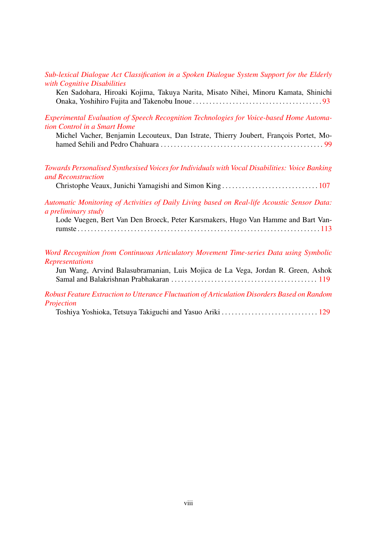*Sub-lexical Dialogue Act Classification in a Spoken Dialogue System Support for the Elderly with Cognitive Disabilities*

Ken Sadohara, Hiroaki Kojima, Takuya Narita, Misato Nihei, Minoru Kamata, Shinichi Onaka, Yoshihiro Fujita and Takenobu Inoue . . . . . . . . . . . . . . . . . . . . . . . . . . . . . . . . . . . . . . . 93

*Experimental Evaluation of Speech Recognition Technologies for Voice-based Home Automation Control in a Smart Home*

Michel Vacher, Benjamin Lecouteux, Dan Istrate, Thierry Joubert, François Portet, Mohamed Sehili and Pedro Chahuara . . . . . . . . . . . . . . . . . . . . . . . . . . . . . . . . . . . . . . . . . . . . . . . . . 99

*Towards Personalised Synthesised Voices for Individuals with Vocal Disabilities: Voice Banking and Reconstruction*

Christophe Veaux, Junichi Yamagishi and Simon King . . . . . . . . . . . . . . . . . . . . . . . . . . . . . 107

*Automatic Monitoring of Activities of Daily Living based on Real-life Acoustic Sensor Data: a preliminary study*

Lode Vuegen, Bert Van Den Broeck, Peter Karsmakers, Hugo Van Hamme and Bart Vanrumste . . . . . . . . . . . . . . . . . . . . . . . . . . . . . . . . . . . . . . . . . . . . . . . . . . . . . . . . . . . . . . . . . . . . . . . . . 113

*Word Recognition from Continuous Articulatory Movement Time-series Data using Symbolic Representations*

Jun Wang, Arvind Balasubramanian, Luis Mojica de La Vega, Jordan R. Green, Ashok Samal and Balakrishnan Prabhakaran . . . . . . . . . . . . . . . . . . . . . . . . . . . . . . . . . . . . . . . . . . . . 119

*Robust Feature Extraction to Utterance Fluctuation of Articulation Disorders Based on Random Projection*

Toshiya Yoshioka, Tetsuya Takiguchi and Yasuo Ariki . . . . . . . . . . . . . . . . . . . . . . . . . . . . . 129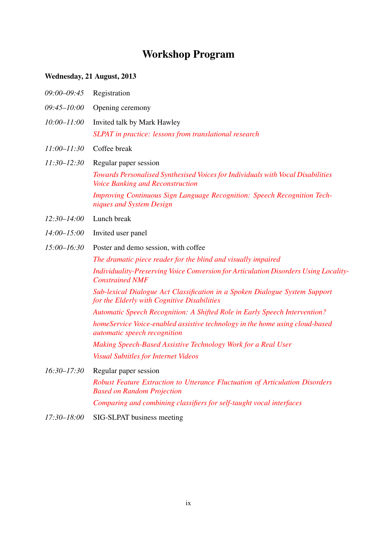# Workshop Program

### Wednesday, 21 August, 2013

| $09:00 - 09:45$ | Registration                                                                                                               |
|-----------------|----------------------------------------------------------------------------------------------------------------------------|
| $09:45 - 10:00$ | Opening ceremony                                                                                                           |
| $10:00 - 11:00$ | Invited talk by Mark Hawley                                                                                                |
|                 | SLPAT in practice: lessons from translational research                                                                     |
| $11:00 - 11:30$ | Coffee break                                                                                                               |
| $11:30 - 12:30$ | Regular paper session                                                                                                      |
|                 | Towards Personalised Synthesised Voices for Individuals with Vocal Disabilities<br><b>Voice Banking and Reconstruction</b> |
|                 | <b>Improving Continuous Sign Language Recognition: Speech Recognition Tech-</b><br>niques and System Design                |
| $12:30 - 14:00$ | Lunch break                                                                                                                |
| $14:00 - 15:00$ | Invited user panel                                                                                                         |
| $15:00 - 16:30$ | Poster and demo session, with coffee                                                                                       |
|                 | The dramatic piece reader for the blind and visually impaired                                                              |
|                 | Individuality-Preserving Voice Conversion for Articulation Disorders Using Locality-<br><b>Constrained NMF</b>             |
|                 | Sub-lexical Dialogue Act Classification in a Spoken Dialogue System Support<br>for the Elderly with Cognitive Disabilities |
|                 | Automatic Speech Recognition: A Shifted Role in Early Speech Intervention?                                                 |
|                 | homeService Voice-enabled assistive technology in the home using cloud-based<br><i>automatic speech recognition</i>        |
|                 | Making Speech-Based Assistive Technology Work for a Real User                                                              |
|                 | <b>Visual Subtitles for Internet Videos</b>                                                                                |
| $16:30 - 17:30$ | Regular paper session                                                                                                      |
|                 | Robust Feature Extraction to Utterance Fluctuation of Articulation Disorders<br><b>Based on Random Projection</b>          |
|                 | Comparing and combining classifiers for self-taught vocal interfaces                                                       |

*17:30–18:00* SIG-SLPAT business meeting